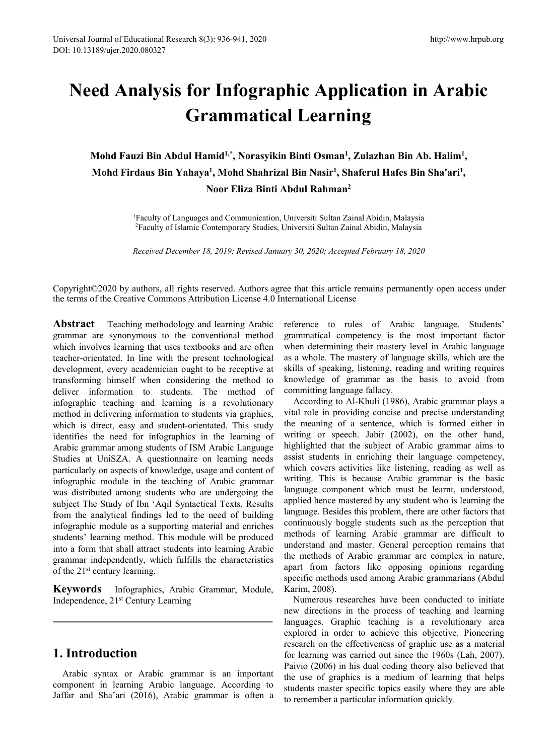# **Need Analysis for Infographic Application in Arabic Grammatical Learning**

**Mohd Fauzi Bin Abdul Hamid 1,\* , Norasyikin Binti Osman 1 , Zulazhan Bin Ab. Halim<sup>1</sup> , Mohd Firdaus Bin Yahaya 1 , Mohd Shahrizal Bin Nasir 1 , Shaferul Hafes Bin Sha'ari<sup>1</sup> , Noor Eliza Binti Abdul Rahman 2** *Received December 18, 2019; Revised January 30, 2020; Accepted February 18, 2020*<br> *Received December 18, 2019; Revised January 30, 2020; Accepted February 18, 2020*<br> *Received December 18, 2019; Revised January 30, 2020;* 

<sup>1</sup>Faculty of Languages and Communication, Universiti Sultan Zainal Abidin, Malaysia <sup>2</sup>Faculty of Islamic Contemporary Studies, Universiti Sultan Zainal Abidin, Malaysia

Copyright©2020 by authors, all rights reserved. Authors agree that this article remains permanently open access under the terms of the Creative Commons Attribution License 4.0 International License

**Abstract** Teaching methodology and learning Arabic grammar are synonymous to the conventional method which involves learning that uses textbooks and are often teacher-orientated. In line with the present technological development, every academician ought to be receptive at transforming himself when considering the method to deliver information to students. The method of infographic teaching and learning is a revolutionary method in delivering information to students via graphics, which is direct, easy and student-orientated. This study identifies the need for infographics in the learning of Arabic grammar among students of ISM Arabic Language Studies at UniSZA. A questionnaire on learning needs particularly on aspects of knowledge, usage and content of infographic module in the teaching of Arabic grammar was distributed among students who are undergoing the subject The Study of Ibn 'Aqil Syntactical Texts. Results from the analytical findings led to the need of building infographic module as a supporting material and enriches students' learning method. This module will be produced into a form that shall attract students into learning Arabic grammar independently, which fulfills the characteristics of the 21 st century learning.

**Keywords** Infographics, Arabic Grammar, Module, Independence, 21 st Century Learning

#### **1. Introduction**

Arabic syntax or Arabic grammar is an important component in learning Arabic language. According to Jaffar and Sha'ari (2016), Arabic grammar is often a

reference to rules of Arabic language. Students' grammatical competency is the most important factor when determining their mastery level in Arabic language as a whole. The mastery of language skills, which are the skills of speaking, listening, reading and writing requires knowledge of grammar as the basis to avoid from committing language fallacy.

According to Al-Khuli (1986), Arabic grammar plays a vital role in providing concise and precise understanding the meaning of a sentence, which is formed either in writing or speech. Jabir (2002), on the other hand, highlighted that the subject of Arabic grammar aims to assist students in enriching their language competency, which covers activities like listening, reading as well as writing. This is because Arabic grammar is the basic language component which must be learnt, understood, applied hence mastered by any student who is learning the language. Besides this problem, there are other factors that continuously boggle students such as the perception that methods of learning Arabic grammar are difficult to understand and master. General perception remains that the methods of Arabic grammar are complex in nature, apart from factors like opposing opinions regarding specific methods used among Arabic grammarians (Abdul Karim, 2008).

Numerous researches have been conducted to initiate new directions in the process of teaching and learning languages. Graphic teaching is a revolutionary area explored in order to achieve this objective. Pioneering research on the effectiveness of graphic use as a material for learning was carried out since the 1960s (Lah, 2007). Paivio (2006) in his dual coding theory also believed that the use of graphics is a medium of learning that helps students master specific topics easily where they are able to remember a particular information quickly.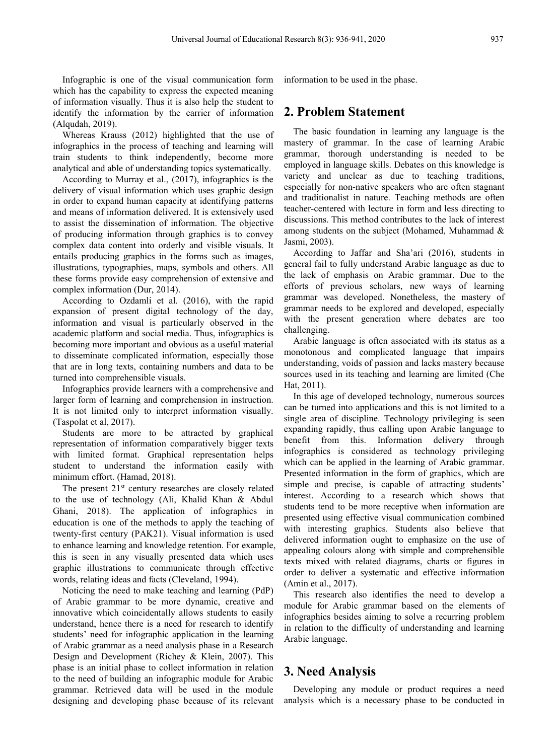Infographic is one of the visual communication form which has the capability to express the expected meaning of information visually. Thus it is also help the student to identify the information by the carrier of information (Alqudah, 2019).

Whereas Krauss (2012) highlighted that the use of infographics in the process of teaching and learning will train students to think independently, become more analytical and able of understanding topics systematically.

According to Murray et al., (2017), infographics is the delivery of visual information which uses graphic design in order to expand human capacity at identifying patterns and means of information delivered. It is extensively used to assist the dissemination of information. The objective of producing information through graphics is to convey complex data content into orderly and visible visuals. It entails producing graphics in the forms such as images, illustrations, typographies, maps, symbols and others. All these forms provide easy comprehension of extensive and complex information (Dur, 2014).

According to Ozdamli et al. (2016), with the rapid expansion of present digital technology of the day, information and visual is particularly observed in the academic platform and social media. Thus, infographics is becoming more important and obvious as a useful material to disseminate complicated information, especially those that are in long texts, containing numbers and data to be turned into comprehensible visuals.

Infographics provide learners with a comprehensive and larger form of learning and comprehension in instruction. It is not limited only to interpret information visually. (Taspolat et al, 2017).

Students are more to be attracted by graphical representation of information comparatively bigger texts with limited format. Graphical representation helps student to understand the information easily with minimum effort. (Hamad, 2018).

The present 21<sup>st</sup> century researches are closely related simple and precise to the use of technology (Ali, Khalid Khan & Abdul Ghani, 2018). The application of infographics in education is one of the methods to apply the teaching of twenty-first century (PAK21). Visual information is used to enhance learning and knowledge retention. For example, this is seen in any visually presented data which uses graphic illustrations to communicate through effective words, relating ideas and facts (Cleveland, 1994).

Noticing the need to make teaching and learning (PdP) of Arabic grammar to be more dynamic, creative and innovative which coincidentally allows students to easily understand, hence there is a need for research to identify students' need for infographic application in the learning of Arabic grammar as a need analysis phase in a Research Design and Development (Richey & Klein, 2007). This phase is an initial phase to collect information in relation to the need of building an infographic module for Arabic grammar. Retrieved data will be used in the module designing and developing phase because of its relevant information to be used in the phase.

#### **2. Problem Statement**

The basic foundation in learning any language is the mastery of grammar. In the case of learning Arabic grammar, thorough understanding is needed to be employed in language skills. Debates on this knowledge is variety and unclear as due to teaching traditions, especially for non-native speakers who are often stagnant and traditionalist in nature. Teaching methods are often teacher-centered with lecture in form and less directing to discussions. This method contributes to the lack of interest among students on the subject (Mohamed, Muhammad & Jasmi, 2003).

According to Jaffar and Sha'ari (2016), students in general fail to fully understand Arabic language as due to the lack of emphasis on Arabic grammar. Due to the efforts of previous scholars, new ways of learning grammar was developed. Nonetheless, the mastery of grammar needs to be explored and developed, especially with the present generation where debates are too challenging.

Arabic language is often associated with its status as a monotonous and complicated language that impairs understanding, voids of passion and lacks mastery because sources used in its teaching and learning are limited (Che Hat, 2011).

In this age of developed technology, numerous sources can be turned into applications and this is not limited to a single area of discipline. Technology privileging is seen expanding rapidly, thus calling upon Arabic language to benefit from this. Information delivery through infographics is considered as technology privileging which can be applied in the learning of Arabic grammar. Presented information in the form of graphics, which are simple and precise, is capable of attracting students' interest. According to a research which shows that students tend to be more receptive when information are presented using effective visual communication combined with interesting graphics. Students also believe that delivered information ought to emphasize on the use of appealing colours along with simple and comprehensible texts mixed with related diagrams, charts or figures in order to deliver a systematic and effective information (Amin et al., 2017).

This research also identifies the need to develop a module for Arabic grammar based on the elements of infographics besides aiming to solve a recurring problem in relation to the difficulty of understanding and learning Arabic language.

#### **3. Need Analysis**

Developing any module or product requires a need analysis which is a necessary phase to be conducted in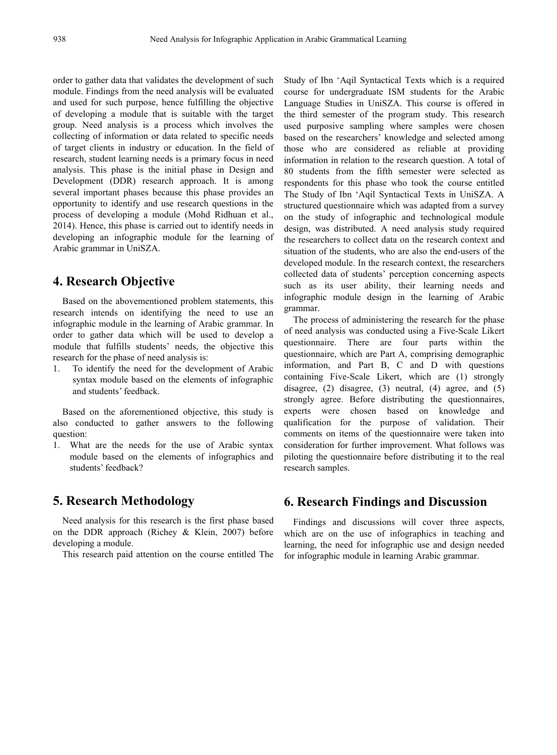order to gather data that validates the development of such module. Findings from the need analysis will be evaluated and used for such purpose, hence fulfilling the objective of developing a module that is suitable with the target group. Need analysis is a process which involves the collecting of information or data related to specific needs of target clients in industry or education. In the field of research, student learning needs is a primary focus in need analysis. This phase is the initial phase in Design and Development (DDR) research approach. It is among several important phases because this phase provides an opportunity to identify and use research questions in the process of developing a module (Mohd Ridhuan et al., 2014). Hence, this phase is carried out to identify needs in developing an infographic module for the learning of Arabic grammar in UniSZA.

## **4. Research Objective**

Based on the abovementioned problem statements, this research intends on identifying the need to use an infographic module in the learning of Arabic grammar. In order to gather data which will be used to develop a module that fulfills students' needs, the objective this research for the phase of need analysis is:

1. To identify the need for the development of Arabic syntax module based on the elements of infographic and students' feedback.

Based on the aforementioned objective, this study is also conducted to gather answers to the following question:

1. What are the needs for the use of Arabic syntax module based on the elements of infographics and students' feedback?

## **5. Research Methodology**

Need analysis for this research is the first phase based on the DDR approach (Richey & Klein, 2007) before developing a module.

This research paid attention on the course entitled The

Study of Ibn 'Aqil Syntactical Texts which is a required course for undergraduate ISM students for the Arabic Language Studies in UniSZA. This course is offered in the third semester of the program study. This research used purposive sampling where samples were chosen based on the researchers' knowledge and selected among those who are considered as reliable at providing information in relation to the research question. A total of 80 students from the fifth semester were selected as respondents for this phase who took the course entitled The Study of Ibn 'Aqil Syntactical Texts in UniSZA. A structured questionnaire which was adapted from a survey on the study of infographic and technological module design, was distributed. A need analysis study required the researchers to collect data on the research context and situation of the students, who are also the end-users of the developed module. In the research context, the researchers collected data of students' perception concerning aspects such as its user ability, their learning needs and infographic module design in the learning of Arabic grammar.

The process of administering the research for the phase of need analysis was conducted using a Five-Scale Likert questionnaire. There are four parts within the questionnaire, which are Part A, comprising demographic information, and Part B, C and D with questions containing Five-Scale Likert, which are (1) strongly disagree, (2) disagree, (3) neutral, (4) agree, and (5) strongly agree. Before distributing the questionnaires, experts were chosen based on knowledge and qualification for the purpose of validation. Their comments on items of the questionnaire were taken into consideration for further improvement. What follows was piloting the questionnaire before distributing it to the real research samples.

## **6. Research Findings and Discussion**

Findings and discussions will cover three aspects, which are on the use of infographics in teaching and learning, the need for infographic use and design needed for infographic module in learning Arabic grammar.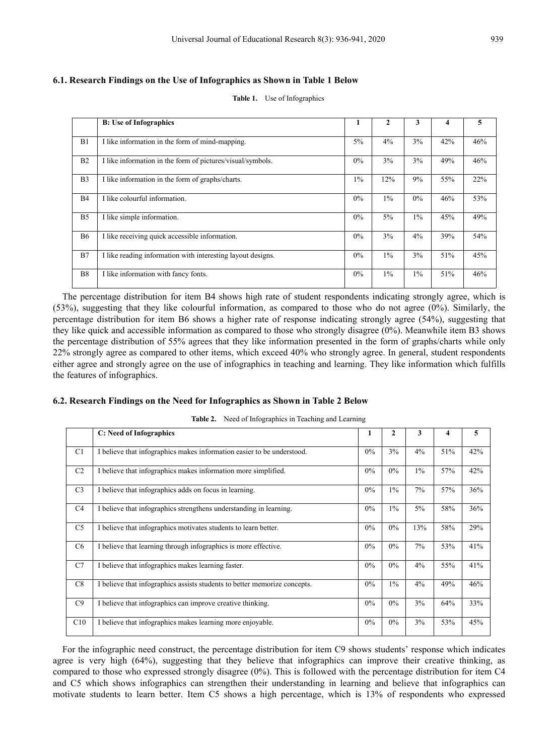#### **6.1. Research Findings on the Use of Infographics as Shown in Table 1 Below**

|                | <b>B:</b> Use of Infographics                               |       |       | 3     | 4   | э   |
|----------------|-------------------------------------------------------------|-------|-------|-------|-----|-----|
| B1             | I like information in the form of mind-mapping.             | $5\%$ | 4%    | 3%    | 42% | 46% |
| B <sub>2</sub> | I like information in the form of pictures/visual/symbols.  | $0\%$ | 3%    | $3\%$ | 49% | 46% |
| B <sub>3</sub> | I like information in the form of graphs/charts.            | $1\%$ | 12%   | 9%    | 55% | 22% |
| <b>B4</b>      | I like colourful information.                               | $0\%$ | $1\%$ | $0\%$ | 46% | 53% |
| B <sub>5</sub> | I like simple information.                                  | $0\%$ | $5\%$ | $1\%$ | 45% | 49% |
| <b>B6</b>      | I like receiving quick accessible information.              | $0\%$ | 3%    | 4%    | 39% | 54% |
| B7             | I like reading information with interesting layout designs. | $0\%$ | $1\%$ | 3%    | 51% | 45% |
| B <sub>8</sub> | I like information with fancy fonts.                        | $0\%$ | $1\%$ | $1\%$ | 51% | 46% |
|                |                                                             |       |       |       |     |     |

**Table 1.** Use of Infographics

The percentage distribution for item B4 shows high rate of student respondents indicating strongly agree, which is (53%), suggesting that they like colourful information, as compared to those who do not agree (0%). Similarly, the percentage distribution for item B6 shows a higher rate of response indicating strongly agree (54%), suggesting that they like quick and accessible information as compared to those who strongly disagree (0%). Meanwhile item B3 shows the percentage distribution of 55% agrees that they like information presented in the form of graphs/charts while only 22% strongly agree as compared to other items, which exceed 40% who strongly agree. In general, student respondents either agree and strongly agree on the use of infographics in teaching and learning. They like information which fulfills the features of infographics.

#### **6.2. Research Findings on the Need for Infographics as Shown in Table 2 Below**

| <b>Table 2.</b> INCED OF HILOGRaphics III Feaching and Learning |                                                                           |       |       |       |     |            |  |
|-----------------------------------------------------------------|---------------------------------------------------------------------------|-------|-------|-------|-----|------------|--|
|                                                                 | C: Need of Infographics                                                   | 1     | 2     | 3     |     | 5          |  |
| C <sub>1</sub>                                                  | I believe that infographics makes information easier to be understood.    | 0%    | 3%    | 4%    | 51% | 42%        |  |
| C <sub>2</sub>                                                  | I believe that infographics makes information more simplified.            | $0\%$ | $0\%$ | $1\%$ | 57% | 42%        |  |
| C <sub>3</sub>                                                  | I believe that infographics adds on focus in learning.                    | $0\%$ | $1\%$ | $7\%$ | 57% | 36%        |  |
| C <sub>4</sub>                                                  | I believe that infographics strengthens understanding in learning.        | $0\%$ | $1\%$ | $5\%$ | 58% | 36%        |  |
| C <sub>5</sub>                                                  | I believe that infographics motivates students to learn better.           | 0%    | $0\%$ | 13%   | 58% | 29%        |  |
| C <sub>6</sub>                                                  | I believe that learning through infographics is more effective.           | 0%    | $0\%$ | $7\%$ | 53% | 41%        |  |
| C7                                                              | I believe that infographics makes learning faster.                        | $0\%$ | $0\%$ | 4%    | 55% | 41%        |  |
| C8                                                              | I believe that infographics assists students to better memorize concepts. | $0\%$ | $1\%$ | 4%    | 49% | 46%        |  |
| C9                                                              | I believe that infographics can improve creative thinking.                | 0%    | $0\%$ | 3%    | 64% | <b>33%</b> |  |
| C10                                                             | I believe that infographics makes learning more enjoyable.                | $0\%$ | $0\%$ | 3%    | 53% | 45%        |  |
|                                                                 |                                                                           |       |       |       |     |            |  |

**Table 2.** Need of Infographics in Teaching and Learning

For the infographic need construct, the percentage distribution for item C9 shows students' response which indicates agree is very high (64%), suggesting that they believe that infographics can improve their creative thinking, as compared to those who expressed strongly disagree (0%). This is followed with the percentage distribution for item C4 and C5 which shows infographics can strengthen their understanding in learning and believe that infographics can motivate students to learn better. Item C5 shows a high percentage, which is 13% of respondents who expressed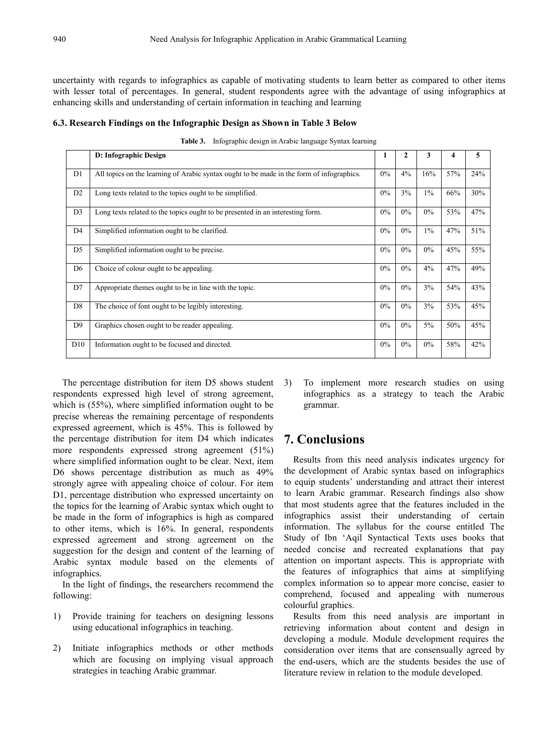uncertainty with regards to infographics as capable of motivating students to learn better as compared to other items with lesser total of percentages. In general, student respondents agree with the advantage of using infographics at enhancing skills and understanding of certain information in teaching and learning

|  | 6.3. Research Findings on the Infographic Design as Shown in Table 3 Below |  |  |
|--|----------------------------------------------------------------------------|--|--|
|  |                                                                            |  |  |

|                | D: Infographic Design                                                                     |       | $\mathbf{2}$ | 3     |     |     |
|----------------|-------------------------------------------------------------------------------------------|-------|--------------|-------|-----|-----|
| D <sub>1</sub> | All topics on the learning of Arabic syntax ought to be made in the form of infographics. | $0\%$ | 4%           | 16%   | 57% | 24% |
| D <sub>2</sub> | Long texts related to the topics ought to be simplified.                                  | $0\%$ | 3%           | $1\%$ | 66% | 30% |
| D <sub>3</sub> | Long texts related to the topics ought to be presented in an interesting form.            | $0\%$ | $0\%$        | $0\%$ | 53% | 47% |
| D <sub>4</sub> | Simplified information ought to be clarified.                                             | $0\%$ | $0\%$        | $1\%$ | 47% | 51% |
| D <sub>5</sub> | Simplified information ought to be precise.                                               | $0\%$ | $0\%$        | $0\%$ | 45% | 55% |
| D <sub>6</sub> | Choice of colour ought to be appealing.                                                   | $0\%$ | $0\%$        | 4%    | 47% | 49% |
| D7             | Appropriate themes ought to be in line with the topic.                                    | $0\%$ | $0\%$        | 3%    | 54% | 43% |
| D <sub>8</sub> | The choice of font ought to be legibly interesting.                                       | $0\%$ | $0\%$        | $3\%$ | 53% | 45% |
| D <sub>9</sub> | Graphics chosen ought to be reader appealing.                                             | $0\%$ | $0\%$        | $5\%$ | 50% | 45% |
| D10            | Information ought to be focused and directed.                                             | $0\%$ | $0\%$        | $0\%$ | 58% | 42% |
|                |                                                                                           |       |              |       |     |     |

**Table 3.** Infographic design in Arabic language Syntax learning

The percentage distribution for item D5 shows student 3) respondents expressed high level of strong agreement, which is (55%), where simplified information ought to be precise whereas the remaining percentage of respondents expressed agreement, which is 45%. This is followed by the percentage distribution for item D4 which indicates more respondents expressed strong agreement (51%) where simplified information ought to be clear. Next, item D6 shows percentage distribution as much as 49% strongly agree with appealing choice of colour. For item D1, percentage distribution who expressed uncertainty on the topics for the learning of Arabic syntax which ought to be made in the form of infographics is high as compared to other items, which is 16%. In general, respondents expressed agreement and strong agreement on the suggestion for the design and content of the learning of Arabic syntax module based on the elements of infographics.

In the light of findings, the researchers recommend the following:

- 1) Provide training for teachers on designing lessons using educational infographics in teaching.
- 2) Initiate infographics methods or other methods which are focusing on implying visual approach strategies in teaching Arabic grammar.

3) To implement more research studies on using infographics as a strategy to teach the Arabic grammar.

## **7. Conclusions**

Results from this need analysis indicates urgency for the development of Arabic syntax based on infographics to equip students' understanding and attract their interest to learn Arabic grammar. Research findings also show that most students agree that the features included in the infographics assist their understanding of certain information. The syllabus for the course entitled The Study of Ibn 'Aqil Syntactical Texts uses books that needed concise and recreated explanations that pay attention on important aspects. This is appropriate with the features of infographics that aims at simplifying complex information so to appear more concise, easier to comprehend, focused and appealing with numerous colourful graphics.

Results from this need analysis are important in retrieving information about content and design in developing a module. Module development requires the consideration over items that are consensually agreed by the end-users, which are the students besides the use of literature review in relation to the module developed.